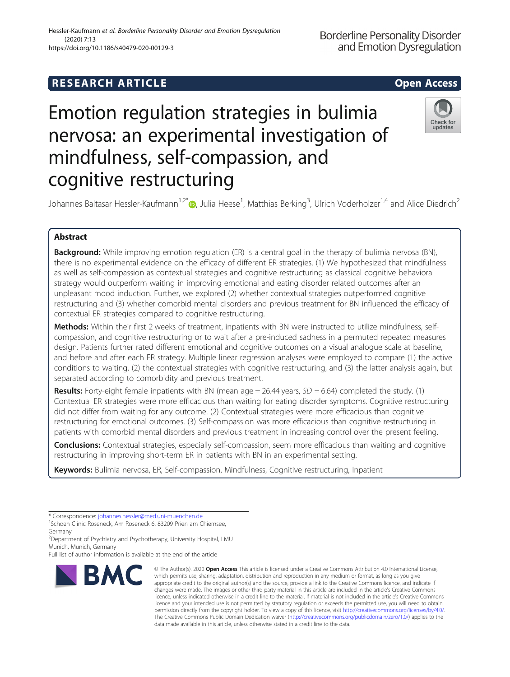# Hessler-Kaufmann et al. Borderline Personality Disorder and Emotion Dysregulation (2020) 7:13 https://doi.org/10.1186/s40479-020-00129-3

cognitive restructuring

# Emotion regulation strategies in bulimia nervosa: an experimental investigation of mindfulness, self-compassion, and

Johannes Baltasar Hessler-Kaufmann<sup>1,2[\\*](http://orcid.org/0000-0002-6994-7951)</sup>®, Julia Heese<sup>1</sup>, Matthias Berking<sup>3</sup>, Ulrich Voderholzer<sup>1,4</sup> and Alice Diedrich<sup>2</sup>

# Abstract

Background: While improving emotion regulation (ER) is a central goal in the therapy of bulimia nervosa (BN), there is no experimental evidence on the efficacy of different ER strategies. (1) We hypothesized that mindfulness as well as self-compassion as contextual strategies and cognitive restructuring as classical cognitive behavioral strategy would outperform waiting in improving emotional and eating disorder related outcomes after an unpleasant mood induction. Further, we explored (2) whether contextual strategies outperformed cognitive restructuring and (3) whether comorbid mental disorders and previous treatment for BN influenced the efficacy of contextual ER strategies compared to cognitive restructuring.

Methods: Within their first 2 weeks of treatment, inpatients with BN were instructed to utilize mindfulness, selfcompassion, and cognitive restructuring or to wait after a pre-induced sadness in a permuted repeated measures design. Patients further rated different emotional and cognitive outcomes on a visual analogue scale at baseline, and before and after each ER strategy. Multiple linear regression analyses were employed to compare (1) the active conditions to waiting, (2) the contextual strategies with cognitive restructuring, and (3) the latter analysis again, but separated according to comorbidity and previous treatment.

**Results:** Forty-eight female inpatients with BN (mean age = 26.44 years,  $SD = 6.64$ ) completed the study. (1) Contextual ER strategies were more efficacious than waiting for eating disorder symptoms. Cognitive restructuring did not differ from waiting for any outcome. (2) Contextual strategies were more efficacious than cognitive restructuring for emotional outcomes. (3) Self-compassion was more efficacious than cognitive restructuring in patients with comorbid mental disorders and previous treatment in increasing control over the present feeling.

**Conclusions:** Contextual strategies, especially self-compassion, seem more efficacious than waiting and cognitive restructuring in improving short-term ER in patients with BN in an experimental setting.

data made available in this article, unless otherwise stated in a credit line to the data.

Keywords: Bulimia nervosa, ER, Self-compassion, Mindfulness, Cognitive restructuring, Inpatient

\* Correspondence: [johannes.hessler@med.uni-muenchen.de](mailto:johannes.hessler@med.uni-muenchen.de) <sup>1</sup>

<sup>1</sup>Schoen Clinic Roseneck, Am Roseneck 6, 83209 Prien am Chiemsee, Germany

2 Department of Psychiatry and Psychotherapy, University Hospital, LMU Munich, Munich, Germany

Full list of author information is available at the end of the article



**Borderline Personality Disorder** and Emotion Dysregulation



which permits use, sharing, adaptation, distribution and reproduction in any medium or format, as long as you give appropriate credit to the original author(s) and the source, provide a link to the Creative Commons licence, and indicate if changes were made. The images or other third party material in this article are included in the article's Creative Commons licence, unless indicated otherwise in a credit line to the material. If material is not included in the article's Creative Commons licence and your intended use is not permitted by statutory regulation or exceeds the permitted use, you will need to obtain permission directly from the copyright holder. To view a copy of this licence, visit [http://creativecommons.org/licenses/by/4.0/.](http://creativecommons.org/licenses/by/4.0/) The Creative Commons Public Domain Dedication waiver [\(http://creativecommons.org/publicdomain/zero/1.0/](http://creativecommons.org/publicdomain/zero/1.0/)) applies to the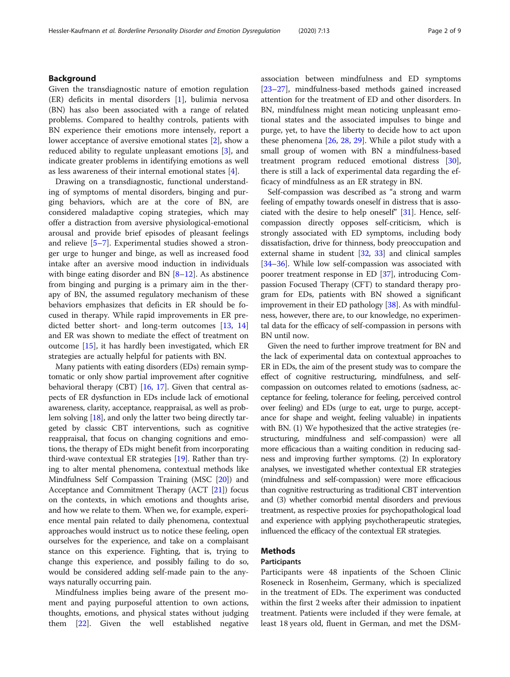# Background

Given the transdiagnostic nature of emotion regulation (ER) deficits in mental disorders [\[1](#page-7-0)], bulimia nervosa (BN) has also been associated with a range of related problems. Compared to healthy controls, patients with BN experience their emotions more intensely, report a lower acceptance of aversive emotional states [[2\]](#page-8-0), show a reduced ability to regulate unpleasant emotions [[3\]](#page-8-0), and indicate greater problems in identifying emotions as well as less awareness of their internal emotional states [[4](#page-8-0)].

Drawing on a transdiagnostic, functional understanding of symptoms of mental disorders, binging and purging behaviors, which are at the core of BN, are considered maladaptive coping strategies, which may offer a distraction from aversive physiological-emotional arousal and provide brief episodes of pleasant feelings and relieve [[5](#page-8-0)–[7](#page-8-0)]. Experimental studies showed a stronger urge to hunger and binge, as well as increased food intake after an aversive mood induction in individuals with binge eating disorder and BN  $[8-12]$  $[8-12]$  $[8-12]$  $[8-12]$  $[8-12]$ . As abstinence from binging and purging is a primary aim in the therapy of BN, the assumed regulatory mechanism of these behaviors emphasizes that deficits in ER should be focused in therapy. While rapid improvements in ER predicted better short- and long-term outcomes [\[13](#page-8-0), [14](#page-8-0)] and ER was shown to mediate the effect of treatment on outcome [\[15](#page-8-0)], it has hardly been investigated, which ER strategies are actually helpful for patients with BN.

Many patients with eating disorders (EDs) remain symptomatic or only show partial improvement after cognitive behavioral therapy (CBT) [\[16,](#page-8-0) [17](#page-8-0)]. Given that central aspects of ER dysfunction in EDs include lack of emotional awareness, clarity, acceptance, reappraisal, as well as problem solving [\[18\]](#page-8-0), and only the latter two being directly targeted by classic CBT interventions, such as cognitive reappraisal, that focus on changing cognitions and emotions, the therapy of EDs might benefit from incorporating third-wave contextual ER strategies [[19](#page-8-0)]. Rather than trying to alter mental phenomena, contextual methods like Mindfulness Self Compassion Training (MSC [\[20\]](#page-8-0)) and Acceptance and Commitment Therapy (ACT [[21\]](#page-8-0)) focus on the contexts, in which emotions and thoughts arise, and how we relate to them. When we, for example, experience mental pain related to daily phenomena, contextual approaches would instruct us to notice these feeling, open ourselves for the experience, and take on a complaisant stance on this experience. Fighting, that is, trying to change this experience, and possibly failing to do so, would be considered adding self-made pain to the anyways naturally occurring pain.

Mindfulness implies being aware of the present moment and paying purposeful attention to own actions, thoughts, emotions, and physical states without judging them [\[22](#page-8-0)]. Given the well established negative association between mindfulness and ED symptoms [[23](#page-8-0)–[27](#page-8-0)], mindfulness-based methods gained increased attention for the treatment of ED and other disorders. In BN, mindfulness might mean noticing unpleasant emotional states and the associated impulses to binge and purge, yet, to have the liberty to decide how to act upon these phenomena [[26,](#page-8-0) [28,](#page-8-0) [29\]](#page-8-0). While a pilot study with a small group of women with BN a mindfulness-based treatment program reduced emotional distress [\[30](#page-8-0)], there is still a lack of experimental data regarding the efficacy of mindfulness as an ER strategy in BN.

Self-compassion was described as "a strong and warm feeling of empathy towards oneself in distress that is associated with the desire to help oneself" [[31](#page-8-0)]. Hence, selfcompassion directly opposes self-criticism, which is strongly associated with ED symptoms, including body dissatisfaction, drive for thinness, body preoccupation and external shame in student [\[32,](#page-8-0) [33](#page-8-0)] and clinical samples [[34](#page-8-0)–[36\]](#page-8-0). While low self-compassion was associated with poorer treatment response in ED [[37](#page-8-0)], introducing Compassion Focused Therapy (CFT) to standard therapy program for EDs, patients with BN showed a significant improvement in their ED pathology [[38](#page-8-0)]. As with mindfulness, however, there are, to our knowledge, no experimental data for the efficacy of self-compassion in persons with BN until now.

Given the need to further improve treatment for BN and the lack of experimental data on contextual approaches to ER in EDs, the aim of the present study was to compare the effect of cognitive restructuring, mindfulness, and selfcompassion on outcomes related to emotions (sadness, acceptance for feeling, tolerance for feeling, perceived control over feeling) and EDs (urge to eat, urge to purge, acceptance for shape and weight, feeling valuable) in inpatients with BN. (1) We hypothesized that the active strategies (restructuring, mindfulness and self-compassion) were all more efficacious than a waiting condition in reducing sadness and improving further symptoms. (2) In exploratory analyses, we investigated whether contextual ER strategies (mindfulness and self-compassion) were more efficacious than cognitive restructuring as traditional CBT intervention and (3) whether comorbid mental disorders and previous treatment, as respective proxies for psychopathological load and experience with applying psychotherapeutic strategies, influenced the efficacy of the contextual ER strategies.

# Methods

# Participants

Participants were 48 inpatients of the Schoen Clinic Roseneck in Rosenheim, Germany, which is specialized in the treatment of EDs. The experiment was conducted within the first 2 weeks after their admission to inpatient treatment. Patients were included if they were female, at least 18 years old, fluent in German, and met the DSM-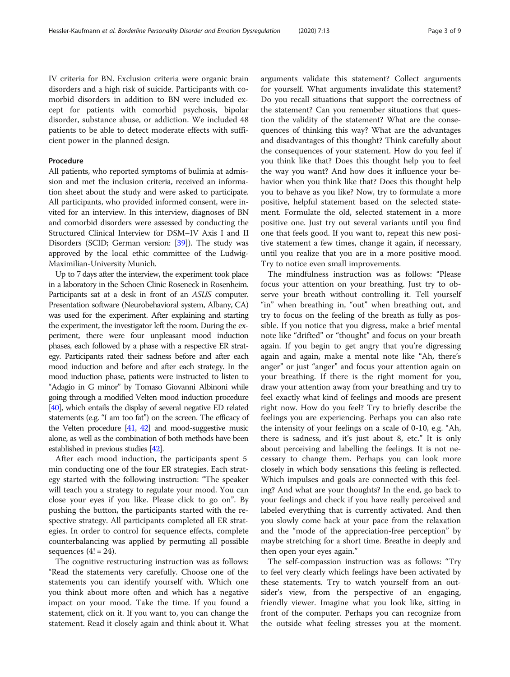IV criteria for BN. Exclusion criteria were organic brain disorders and a high risk of suicide. Participants with comorbid disorders in addition to BN were included except for patients with comorbid psychosis, bipolar disorder, substance abuse, or addiction. We included 48 patients to be able to detect moderate effects with sufficient power in the planned design.

#### Procedure

All patients, who reported symptoms of bulimia at admission and met the inclusion criteria, received an information sheet about the study and were asked to participate. All participants, who provided informed consent, were invited for an interview. In this interview, diagnoses of BN and comorbid disorders were assessed by conducting the Structured Clinical Interview for DSM–IV Axis I and II Disorders (SCID; German version: [[39\]](#page-8-0)). The study was approved by the local ethic committee of the Ludwig-Maximilian-University Munich.

Up to 7 days after the interview, the experiment took place in a laboratory in the Schoen Clinic Roseneck in Rosenheim. Participants sat at a desk in front of an ASUS computer. Presentation software (Neurobehavioral system, Albany, CA) was used for the experiment. After explaining and starting the experiment, the investigator left the room. During the experiment, there were four unpleasant mood induction phases, each followed by a phase with a respective ER strategy. Participants rated their sadness before and after each mood induction and before and after each strategy. In the mood induction phase, patients were instructed to listen to "Adagio in G minor" by Tomaso Giovanni Albinoni while going through a modified Velten mood induction procedure [[40\]](#page-8-0), which entails the display of several negative ED related statements (e.g. "I am too fat") on the screen. The efficacy of the Velten procedure [\[41,](#page-8-0) [42](#page-8-0)] and mood-suggestive music alone, as well as the combination of both methods have been established in previous studies [[42\]](#page-8-0).

After each mood induction, the participants spent 5 min conducting one of the four ER strategies. Each strategy started with the following instruction: "The speaker will teach you a strategy to regulate your mood. You can close your eyes if you like. Please click to go on". By pushing the button, the participants started with the respective strategy. All participants completed all ER strategies. In order to control for sequence effects, complete counterbalancing was applied by permuting all possible sequences  $(4! = 24)$ .

The cognitive restructuring instruction was as follows: "Read the statements very carefully. Choose one of the statements you can identify yourself with. Which one you think about more often and which has a negative impact on your mood. Take the time. If you found a statement, click on it. If you want to, you can change the statement. Read it closely again and think about it. What arguments validate this statement? Collect arguments for yourself. What arguments invalidate this statement? Do you recall situations that support the correctness of the statement? Can you remember situations that question the validity of the statement? What are the consequences of thinking this way? What are the advantages and disadvantages of this thought? Think carefully about the consequences of your statement. How do you feel if you think like that? Does this thought help you to feel the way you want? And how does it influence your behavior when you think like that? Does this thought help you to behave as you like? Now, try to formulate a more positive, helpful statement based on the selected statement. Formulate the old, selected statement in a more positive one. Just try out several variants until you find one that feels good. If you want to, repeat this new positive statement a few times, change it again, if necessary, until you realize that you are in a more positive mood. Try to notice even small improvements.

The mindfulness instruction was as follows: "Please focus your attention on your breathing. Just try to observe your breath without controlling it. Tell yourself "in" when breathing in, "out" when breathing out, and try to focus on the feeling of the breath as fully as possible. If you notice that you digress, make a brief mental note like "drifted" or "thought" and focus on your breath again. If you begin to get angry that you're digressing again and again, make a mental note like "Ah, there's anger" or just "anger" and focus your attention again on your breathing. If there is the right moment for you, draw your attention away from your breathing and try to feel exactly what kind of feelings and moods are present right now. How do you feel? Try to briefly describe the feelings you are experiencing. Perhaps you can also rate the intensity of your feelings on a scale of 0-10, e.g. "Ah, there is sadness, and it's just about 8, etc." It is only about perceiving and labelling the feelings. It is not necessary to change them. Perhaps you can look more closely in which body sensations this feeling is reflected. Which impulses and goals are connected with this feeling? And what are your thoughts? In the end, go back to your feelings and check if you have really perceived and labeled everything that is currently activated. And then you slowly come back at your pace from the relaxation and the "mode of the appreciation-free perception" by maybe stretching for a short time. Breathe in deeply and then open your eyes again."

The self-compassion instruction was as follows: "Try to feel very clearly which feelings have been activated by these statements. Try to watch yourself from an outsider's view, from the perspective of an engaging, friendly viewer. Imagine what you look like, sitting in front of the computer. Perhaps you can recognize from the outside what feeling stresses you at the moment.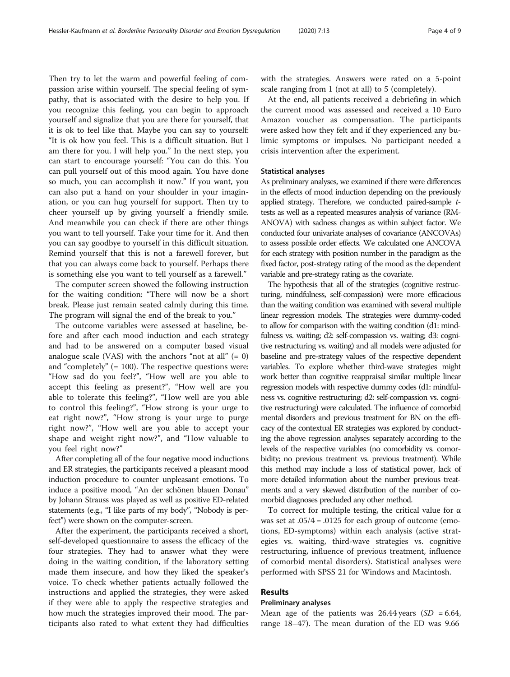Then try to let the warm and powerful feeling of compassion arise within yourself. The special feeling of sympathy, that is associated with the desire to help you. If you recognize this feeling, you can begin to approach yourself and signalize that you are there for yourself, that it is ok to feel like that. Maybe you can say to yourself: "It is ok how you feel. This is a difficult situation. But I am there for you. l will help you." In the next step, you can start to encourage yourself: "You can do this. You can pull yourself out of this mood again. You have done so much, you can accomplish it now." If you want, you can also put a hand on your shoulder in your imagination, or you can hug yourself for support. Then try to cheer yourself up by giving yourself a friendly smile. And meanwhile you can check if there are other things you want to tell yourself. Take your time for it. And then you can say goodbye to yourself in this difficult situation. Remind yourself that this is not a farewell forever, but that you can always come back to yourself. Perhaps there is something else you want to tell yourself as a farewell."

The computer screen showed the following instruction for the waiting condition: "There will now be a short break. Please just remain seated calmly during this time. The program will signal the end of the break to you."

The outcome variables were assessed at baseline, before and after each mood induction and each strategy and had to be answered on a computer based visual analogue scale (VAS) with the anchors "not at all"  $(= 0)$ and "completely" (= 100). The respective questions were: "How sad do you feel?", "How well are you able to accept this feeling as present?", "How well are you able to tolerate this feeling?", "How well are you able to control this feeling?", "How strong is your urge to eat right now?", "How strong is your urge to purge right now?", "How well are you able to accept your shape and weight right now?", and "How valuable to you feel right now?"

After completing all of the four negative mood inductions and ER strategies, the participants received a pleasant mood induction procedure to counter unpleasant emotions. To induce a positive mood, "An der schönen blauen Donau" by Johann Strauss was played as well as positive ED-related statements (e.g., "I like parts of my body", "Nobody is perfect") were shown on the computer-screen.

After the experiment, the participants received a short, self-developed questionnaire to assess the efficacy of the four strategies. They had to answer what they were doing in the waiting condition, if the laboratory setting made them insecure, and how they liked the speaker's voice. To check whether patients actually followed the instructions and applied the strategies, they were asked if they were able to apply the respective strategies and how much the strategies improved their mood. The participants also rated to what extent they had difficulties with the strategies. Answers were rated on a 5-point scale ranging from 1 (not at all) to 5 (completely).

At the end, all patients received a debriefing in which the current mood was assessed and received a 10 Euro Amazon voucher as compensation. The participants were asked how they felt and if they experienced any bulimic symptoms or impulses. No participant needed a crisis intervention after the experiment.

# Statistical analyses

As preliminary analyses, we examined if there were differences in the effects of mood induction depending on the previously applied strategy. Therefore, we conducted paired-sample ttests as well as a repeated measures analysis of variance (RM-ANOVA) with sadness changes as within subject factor. We conducted four univariate analyses of covariance (ANCOVAs) to assess possible order effects. We calculated one ANCOVA for each strategy with position number in the paradigm as the fixed factor, post-strategy rating of the mood as the dependent variable and pre-strategy rating as the covariate.

The hypothesis that all of the strategies (cognitive restructuring, mindfulness, self-compassion) were more efficacious than the waiting condition was examined with several multiple linear regression models. The strategies were dummy-coded to allow for comparison with the waiting condition (d1: mindfulness vs. waiting; d2: self-compassion vs. waiting; d3: cognitive restructuring vs. waiting) and all models were adjusted for baseline and pre-strategy values of the respective dependent variables. To explore whether third-wave strategies might work better than cognitive reappraisal similar multiple linear regression models with respective dummy codes (d1: mindfulness vs. cognitive restructuring; d2: self-compassion vs. cognitive restructuring) were calculated. The influence of comorbid mental disorders and previous treatment for BN on the efficacy of the contextual ER strategies was explored by conducting the above regression analyses separately according to the levels of the respective variables (no comorbidity vs. comorbidity; no previous treatment vs. previous treatment). While this method may include a loss of statistical power, lack of more detailed information about the number previous treatments and a very skewed distribution of the number of comorbid diagnoses precluded any other method.

To correct for multiple testing, the critical value for  $\alpha$ was set at  $.05/4 = .0125$  for each group of outcome (emotions, ED-symptoms) within each analysis (active strategies vs. waiting, third-wave strategies vs. cognitive restructuring, influence of previous treatment, influence of comorbid mental disorders). Statistical analyses were performed with SPSS 21 for Windows and Macintosh.

# Results

# Preliminary analyses

Mean age of the patients was 26.44 years  $(SD = 6.64,$ range 18–47). The mean duration of the ED was 9.66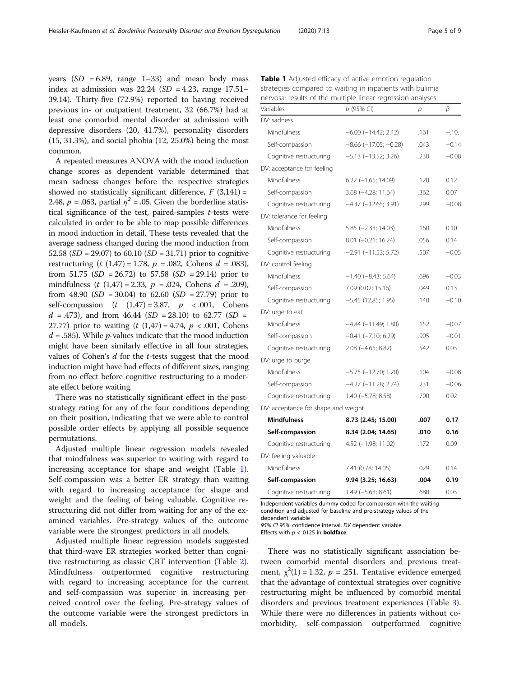years ( $SD = 6.89$ , range 1–33) and mean body mass index at admission was  $22.24$  (SD = 4.23, range 17.51– 39.14). Thirty-five (72.9%) reported to having received previous in- or outpatient treatment, 32 (66.7%) had at least one comorbid mental disorder at admission with depressive disorders (20, 41.7%), personality disorders (15, 31.3%), and social phobia (12, 25.0%) being the most common.

A repeated measures ANOVA with the mood induction change scores as dependent variable determined that mean sadness changes before the respective strategies showed no statistically significant difference,  $F(3,141) =$ 2.48,  $p = .063$ , partial  $\eta^2 = .05$ . Given the borderline statistical significance of the test, paired-samples  $t$ -tests were calculated in order to be able to map possible differences in mood induction in detail. These tests revealed that the average sadness changed during the mood induction from 52.58 ( $SD = 29.07$ ) to 60.10 ( $SD = 31.71$ ) prior to cognitive restructuring  $(t (1,47) = 1.78, p = .082, Cohens d = .083)$ , from 51.75 ( $SD = 26.72$ ) to 57.58 ( $SD = 29.14$ ) prior to mindfulness  $(t (1,47) = 2.33, p = .024, Cohens d = .209)$ , from 48.90 ( $SD = 30.04$ ) to 62.60 ( $SD = 27.79$ ) prior to self-compassion  $(t (1,47) = 3.87, p < .001,$  Cohens  $d = .473$ ), and from 46.44 (SD = 28.10) to 62.77 (SD = 27.77) prior to waiting  $(t (1,47) = 4.74, p < .001,$  Cohens  $d = 0.585$ . While *p*-values indicate that the mood induction might have been similarly effective in all four strategies, values of Cohen's d for the t-tests suggest that the mood induction might have had effects of different sizes, ranging from no effect before cognitive restructuring to a moderate effect before waiting.

There was no statistically significant effect in the poststrategy rating for any of the four conditions depending on their position, indicating that we were able to control possible order effects by applying all possible sequence permutations.

Adjusted multiple linear regression models revealed that mindfulness was superior to waiting with regard to increasing acceptance for shape and weight (Table 1). Self-compassion was a better ER strategy than waiting with regard to increasing acceptance for shape and weight and the feeling of being valuable. Cognitive restructuring did not differ from waiting for any of the examined variables. Pre-strategy values of the outcome variable were the strongest predictors in all models.

Adjusted multiple linear regression models suggested that third-wave ER strategies worked better than cognitive restructuring as classic CBT intervention (Table [2](#page-5-0)). Mindfulness outperformed cognitive restructuring with regard to increasing acceptance for the current and self-compassion was superior in increasing perceived control over the feeling. Pre-strategy values of the outcome variable were the strongest predictors in all models.

| Variables                           | $b$ (95% CI)                   | р    | β       |
|-------------------------------------|--------------------------------|------|---------|
| DV: sadness                         |                                |      |         |
| Mindfulness                         | $-6.00$ $(-14.42; 2.42)$       | .161 | $-.10.$ |
| Self-compassion                     | $-8.66$ ( $-17.05$ ; $-0.28$ ) | .043 | $-0.14$ |
| Cognitive restructuring             | $-5.13$ ( $-13.52$ ; 3.26)     | .230 | $-0.08$ |
| DV: acceptance for feeling          |                                |      |         |
| Mindfulness                         | $6.22$ (-1.65; 14.09)          | .120 | 0.12    |
| Self-compassion                     | $3.68$ ( $-4.28$ ; 11.64)      | .362 | 0.07    |
| Cognitive restructuring             | $-4.37$ $(-12.65; 3.91)$       | .299 | $-0.08$ |
| DV: tolerance for feeling           |                                |      |         |
| Mindfulness                         | $5.85$ ( $-2.33$ ; 14.03)      | .160 | 0.10    |
| Self-compassion                     | $8.01 (-0.21; 16.24)$          | .056 | 0.14    |
| Cognitive restructuring             | $-2.91$ $(-11.53; 5.72)$       | .507 | $-0.05$ |
| DV: control feeling                 |                                |      |         |
| Mindfulness                         | $-1.40$ ( $-8.43$ ; 5.64)      | .696 | $-0.03$ |
| Self-compassion                     | 7.09 (0.02; 15.16)             | .049 | 0.13    |
| Cognitive restructuring             | $-5.45$ (12.85; 1.95)          | .148 | $-0.10$ |
| DV: urge to eat                     |                                |      |         |
| Mindfulness                         | $-4.84$ $(-11.49; 1.80)$       | .152 | $-0.07$ |
| Self-compassion                     | $-0.41$ $(-7.10; 6.29)$        | .905 | $-0.01$ |
| Cognitive restructuring             | 2.08 (-4.65; 8.82)             | .542 | 0.03    |
| DV: urge to purge                   |                                |      |         |
| Mindfulness                         | $-5.75$ $(-12.70; 1.20)$       | .104 | $-0.08$ |
| Self-compassion                     | $-4.27$ $(-11.28; 2.74)$       | .231 | $-0.06$ |
| Cognitive restructuring             | $1.40$ ( $-5.78$ ; 8.58)       | .700 | 0.02    |
| DV: acceptance for shape and weight |                                |      |         |
| <b>Mindfulness</b>                  | 8.73 (2.45; 15.00)             | .007 | 0.17    |
| Self-compassion                     | 8.34 (2.04; 14.65)             | .010 | 0.16    |
| Cognitive restructuring             | 4.52 (-1.98; 11.02)            | .172 | 0.09    |
| DV: feeling valuable                |                                |      |         |
| Mindfulness                         | 7.41 (0.78; 14.05)             | .029 | 0.14    |
| Self-compassion                     | 9.94 (3.25; 16.63)             | .004 | 0.19    |
| Cognitive restructuring             | $1.49$ (-5.63; 8.61)           | .680 | 0.03    |

Table 1 Adjusted efficacy of active emotion regulation strategies compared to waiting in inpatients with bulimia nervosa: results of the multiple linear regression analyses

Independent variables dummy-coded for comparison with the waiting condition and adjusted for baseline and pre-strategy values of the dependent variable

95% CI 95% confidence interval, DV dependent variable

Effects with  $p < .0125$  in **boldface** 

There was no statistically significant association between comorbid mental disorders and previous treatment,  $\chi^2(1) = 1.32$ ,  $p = .251$ . Tentative evidence emerged that the advantage of contextual strategies over cognitive restructuring might be influenced by comorbid mental disorders and previous treatment experiences (Table [3](#page-6-0)). While there were no differences in patients without comorbidity, self-compassion outperformed cognitive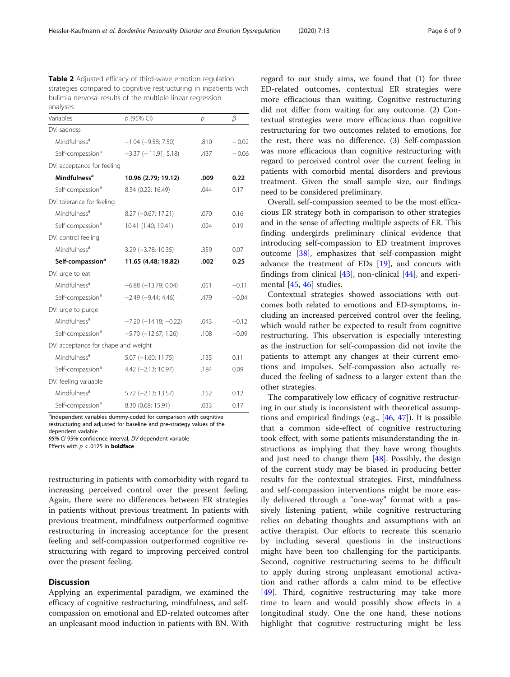<span id="page-5-0"></span>Table 2 Adjusted efficacy of third-wave emotion regulation strategies compared to cognitive restructuring in inpatients with bulimia nervosa: results of the multiple linear regression analyses

| a <i>. .</i>                        |                                |      |         |  |  |
|-------------------------------------|--------------------------------|------|---------|--|--|
| Variables                           | $b$ (95% CI)                   | р    | β       |  |  |
| DV: sadness                         |                                |      |         |  |  |
| Mindfulness <sup>a</sup>            | $-1.04$ ( $-9.58$ ; 7.50)      | .810 | $-0.02$ |  |  |
| Self-compassion <sup>a</sup>        | $-3.37$ ( $-11.91$ ; 5.18)     | .437 | $-0.06$ |  |  |
| DV: acceptance for feeling          |                                |      |         |  |  |
| <b>Mindfulness<sup>a</sup></b>      | 10.96 (2.79; 19.12)            | .009 | 0.22    |  |  |
| Self-compassion <sup>a</sup>        | 8.34 (0.22; 16.49)             | .044 | 0.17    |  |  |
| DV: tolerance for feeling           |                                |      |         |  |  |
| Mindfulness <sup>a</sup>            | 8.27 (-0.67; 17.21)            | .070 | 0.16    |  |  |
| Self-compassion <sup>a</sup>        | 10.41 (1.40; 19.41)            | .024 | 0.19    |  |  |
| DV: control feeling                 |                                |      |         |  |  |
| Mindfulness <sup>a</sup>            | $3.29$ (-3.78; 10.35)          | .359 | 0.07    |  |  |
| Self-compassion <sup>a</sup>        | 11.65 (4.48; 18.82)            | .002 | 0.25    |  |  |
| DV: urge to eat                     |                                |      |         |  |  |
| Mindfulness <sup>a</sup>            | $-6.88$ $(-13.79; 0.04)$       | .051 | $-0.11$ |  |  |
| Self-compassion <sup>a</sup>        | $-2.49$ ( $-9.44$ ; 4.46)      | .479 | $-0.04$ |  |  |
| DV: urge to purge                   |                                |      |         |  |  |
| Mindfulness <sup>a</sup>            | $-7.20$ ( $-14.18$ ; $-0.22$ ) | .043 | $-0.12$ |  |  |
| Self-compassion <sup>a</sup>        | $-5.70$ $(-12.67; 1.26)$       | .108 | $-0.09$ |  |  |
| DV: acceptance for shape and weight |                                |      |         |  |  |
| Mindfulness <sup>a</sup>            | $5.07$ $(-1.60; 11.75)$        | .135 | 0.11    |  |  |
| Self-compassion <sup>a</sup>        | 4.42 (-2.13; 10.97)            | .184 | 0.09    |  |  |
| DV: feeling valuable                |                                |      |         |  |  |
| Mindfulness <sup>a</sup>            | $5.72$ (-2.13; 13.57)          | .152 | 0.12    |  |  |
| Self-compassion <sup>a</sup>        | 8.30 (0.68; 15.91)             | .033 | 0.17    |  |  |

<sup>a</sup>Independent variables dummy-coded for comparison with cognitive restructuring and adjusted for baseline and pre-strategy values of the dependent variable

95% CI 95% confidence interval, DV dependent variable

Effects with  $p < .0125$  in **boldface** 

restructuring in patients with comorbidity with regard to increasing perceived control over the present feeling. Again, there were no differences between ER strategies in patients without previous treatment. In patients with previous treatment, mindfulness outperformed cognitive restructuring in increasing acceptance for the present feeling and self-compassion outperformed cognitive restructuring with regard to improving perceived control over the present feeling.

# **Discussion**

Applying an experimental paradigm, we examined the efficacy of cognitive restructuring, mindfulness, and selfcompassion on emotional and ED-related outcomes after an unpleasant mood induction in patients with BN. With regard to our study aims, we found that (1) for three ED-related outcomes, contextual ER strategies were more efficacious than waiting. Cognitive restructuring did not differ from waiting for any outcome. (2) Contextual strategies were more efficacious than cognitive restructuring for two outcomes related to emotions, for the rest, there was no difference. (3) Self-compassion was more efficacious than cognitive restructuring with regard to perceived control over the current feeling in patients with comorbid mental disorders and previous treatment. Given the small sample size, our findings need to be considered preliminary.

Overall, self-compassion seemed to be the most efficacious ER strategy both in comparison to other strategies and in the sense of affecting multiple aspects of ER. This finding undergirds preliminary clinical evidence that introducing self-compassion to ED treatment improves outcome [\[38](#page-8-0)], emphasizes that self-compassion might advance the treatment of EDs [\[19](#page-8-0)], and concurs with findings from clinical  $[43]$  $[43]$ , non-clinical  $[44]$  $[44]$ , and experimental [[45,](#page-8-0) [46\]](#page-8-0) studies.

Contextual strategies showed associations with outcomes both related to emotions and ED-symptoms, including an increased perceived control over the feeling, which would rather be expected to result from cognitive restructuring. This observation is especially interesting as the instruction for self-compassion did not invite the patients to attempt any changes at their current emotions and impulses. Self-compassion also actually reduced the feeling of sadness to a larger extent than the other strategies.

The comparatively low efficacy of cognitive restructuring in our study is inconsistent with theoretical assumptions and empirical findings (e.g.,  $[46, 47]$  $[46, 47]$  $[46, 47]$ ). It is possible that a common side-effect of cognitive restructuring took effect, with some patients misunderstanding the instructions as implying that they have wrong thoughts and just need to change them [[48\]](#page-8-0). Possibly, the design of the current study may be biased in producing better results for the contextual strategies. First, mindfulness and self-compassion interventions might be more easily delivered through a "one-way" format with a passively listening patient, while cognitive restructuring relies on debating thoughts and assumptions with an active therapist. Our efforts to recreate this scenario by including several questions in the instructions might have been too challenging for the participants. Second, cognitive restructuring seems to be difficult to apply during strong unpleasant emotional activation and rather affords a calm mind to be effective [[49\]](#page-8-0). Third, cognitive restructuring may take more time to learn and would possibly show effects in a longitudinal study. One the one hand, these notions highlight that cognitive restructuring might be less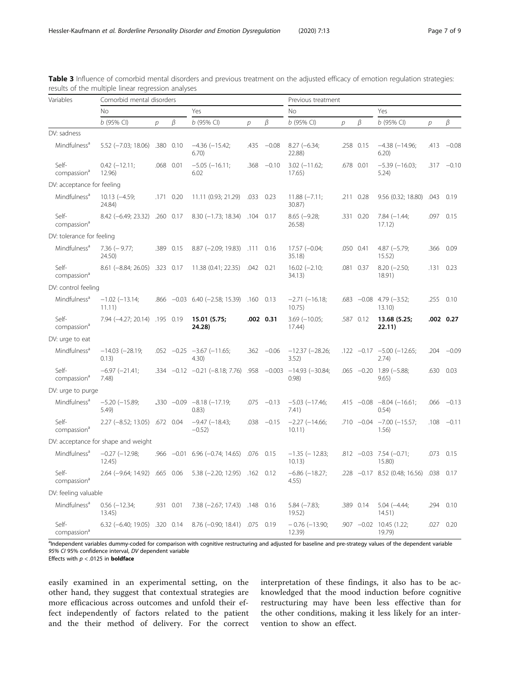| Variables                        | Comorbid mental disorders           |                |              |                                                 |                |              | Previous treatment             |   |           |                                            |      |               |
|----------------------------------|-------------------------------------|----------------|--------------|-------------------------------------------------|----------------|--------------|--------------------------------|---|-----------|--------------------------------------------|------|---------------|
|                                  | <b>No</b>                           |                |              |                                                 | Yes            |              | <b>No</b>                      |   |           | Yes                                        |      |               |
|                                  | $b$ (95% CI)                        | $\overline{D}$ | β            | $b$ (95% CI)                                    | $\overline{p}$ | β            | $b$ (95% CI)                   | р | β         | $b$ (95% CI)                               | р    | β             |
| DV: sadness                      |                                     |                |              |                                                 |                |              |                                |   |           |                                            |      |               |
| Mindfulness <sup>a</sup>         | $5.52$ ( $-7.03$ ; 18.06)           | .380           | 0.10         | $-4.36$ $(-15.42;$<br>6.70)                     | .435           | $-0.08$      | $8.27 (-6.34;$<br>22.88)       |   | .258 0.15 | $-4.38(-14.96;$<br>6.20)                   | .413 | $-0.08$       |
| Self-<br>compassion <sup>ª</sup> | $0.42 (-12.11)$<br>12.96)           |                | .068 0.01    | $-5.05$ $(-16.11)$ ;<br>6.02                    | .368           | $-0.10$      | $3.02$ (-11.62;<br>17.65)      |   | .678 0.01 | $-5.39(-16.03;$<br>5.24)                   |      | $.317 - 0.10$ |
| DV: acceptance for feeling       |                                     |                |              |                                                 |                |              |                                |   |           |                                            |      |               |
| Mindfulness <sup>a</sup>         | $10.13 (-4.59)$<br>24.84)           |                | .171 0.20    | 11.11 (0.93; 21.29)                             | .033 0.23      |              | $11.88 (-7.11)$<br>30.87)      |   | .211 0.28 | 9.56 (0.32; 18.80)                         |      | .043 0.19     |
| Self-<br>compassion <sup>d</sup> | $8.42 (-6.49; 23.32)$               |                | .260 0.17    | 8.30 (-1.73; 18.34) .104 0.17                   |                |              | $8.65 (-9.28;$<br>26.58        |   | .331 0.20 | $7.84 (-1.44;$<br>17.12                    | .097 | 0.15          |
| DV: tolerance for feeling        |                                     |                |              |                                                 |                |              |                                |   |           |                                            |      |               |
| Mindfulness <sup>a</sup>         | $7.36$ ( $-9.77$ ;<br>24.50)        |                | .389 0.15    | $8.87$ (-2.09; 19.83) .111                      |                | 0.16         | $17.57 (-0.04;$<br>35.18)      |   | .050 0.41 | $4.87 (-5.79;$<br>15.52                    | .366 | 0.09          |
| Self-<br>compassion <sup>a</sup> | 8.61 (-8.84; 26.05) .323 0.17       |                |              | 11.38 (0.41; 22.35)                             | .042 0.21      |              | $16.02 (-2.10;$<br>34.13)      |   | .081 0.37 | $8.20 (-2.50;$<br>18.91)                   |      | .131 0.23     |
| DV: control feeling              |                                     |                |              |                                                 |                |              |                                |   |           |                                            |      |               |
| Mindfulness <sup>a</sup>         | $-1.02$ ( $-13.14$ ;<br>11.11)      |                |              | $.866 - 0.03$ 6.40 (-2.58; 15.39)               | $.160$ 0.13    |              | $-2.71(-16.18;$<br>10.75)      |   |           | $.683 -0.08$ 4.79 $(-3.52)$ ;<br>13.10     | .255 | 0.10          |
| Self-<br>compassion <sup>a</sup> | 7.94 (-4.27; 20.14) .195 0.19       |                |              | 15.01 (5.75;<br>24.28)                          |                | .002 0.31    | $3.69$ ( $-10.05$ ;<br>17.44)  |   | .587 0.12 | 13.68 (5.25;<br>22.11)                     |      | .002 0.27     |
| DV: urge to eat                  |                                     |                |              |                                                 |                |              |                                |   |           |                                            |      |               |
| Mindfulness <sup>a</sup>         | $-14.03$ $(-28.19;$<br>0.13)        |                |              | $.052 -0.25 -3.67 (-11.65;$<br>4.30)            |                | $.362 -0.06$ | $-12.37$ $(-28.26;$<br>3.52)   |   |           | $.122 -0.17 -5.00 (-12.65)$<br>2.74)       | .204 | $-0.09$       |
| Self-<br>compassion <sup>ª</sup> | $-6.97$ $(-21.41)$ ;<br>7.48        |                |              | $-0.12$ $-0.21$ $(-8.18; 7.76)$ $.958$ $-0.003$ |                |              | $-14.93$ ( $-30.84$ ;<br>0.98) |   |           | $.065 -0.20$ 1.89 (-5.88;<br>9.65)         | .630 | 0.03          |
| DV: urge to purge                |                                     |                |              |                                                 |                |              |                                |   |           |                                            |      |               |
| Mindfulness <sup>a</sup>         | $-5.20$ ( $-15.89$ ;<br>5.49)       |                |              | $-330 -0.09 -8.18 (-17.19)$<br>(0.83)           |                | $.075 -0.13$ | $-5.03$ $(-17.46;$<br>7.41)    |   |           | .415 $-0.08$ $-8.04$ $(-16.61)$ ;<br>0.54) | .066 | $-0.13$       |
| Self-<br>compassion <sup>d</sup> | 2.27 (-8.52; 13.05) .672 0.04       |                |              | $-9.47$ ( $-18.43$ ;<br>$-0.52$                 |                | $.038 -0.15$ | $-2.27$ ( $-14.66$ ;<br>10.11) |   |           | $.710 -0.04 -7.00 (-15.57)$<br>1.56)       | .108 | $-0.11$       |
|                                  | DV: acceptance for shape and weight |                |              |                                                 |                |              |                                |   |           |                                            |      |               |
| Mindfulness <sup>a</sup>         | $-0.27$ $(-12.98;$<br>12.45         |                | $.966 -0.01$ | $6.96 (-0.74; 14.65)$ .076 0.15                 |                |              | $-1.35$ ( $-12.83$ ;<br>10.13) |   |           | .812 -0.03 7.54 (-0.71;<br>15.80)          | .073 | 0.15          |
| Self-<br>compassion <sup>a</sup> | $2.64$ (-9.64; 14.92)               |                | .665 0.06    | $5.38$ (-2.20; 12.95) .162 0.12                 |                |              | $-6.86$ $(-18.27)$<br>4.55)    |   |           | $.228 -0.17$ 8.52 (0.48; 16.56)            |      | .038 0.17     |
| DV: feeling valuable             |                                     |                |              |                                                 |                |              |                                |   |           |                                            |      |               |
| Mindfulness <sup>a</sup>         | $0.56$ ( $-12.34$ ;<br>13.45)       |                | .931 0.01    | $7.38 (-2.67; 17.43)$ .148                      |                | 0.16         | $5.84 (-7.83)$<br>19.52)       |   | .389 0.14 | $5.04 (-4.44)$<br>14.51)                   | .294 | 0.10          |
| Self-<br>compassion <sup>ª</sup> | 6.32 (-6.40; 19.05) .320 0.14       |                |              | 8.76 (-0.90; 18.41) .075 0.19                   |                |              | $-0.76$ ( $-13.90$ ;<br>12.39  |   |           | .907 -0.02 10.45 (1.22;<br>19.79)          | .027 | 0.20          |

<span id="page-6-0"></span>Table 3 Influence of comorbid mental disorders and previous treatment on the adjusted efficacy of emotion regulation strategies: results of the multiple linear regression analyses

<sup>a</sup>Independent variables dummy-coded for comparison with cognitive restructuring and adjusted for baseline and pre-strategy values of the dependent variable 95% CI 95% confidence interval, DV dependent variable

Effects with  $p < .0125$  in **boldface** 

easily examined in an experimental setting, on the other hand, they suggest that contextual strategies are more efficacious across outcomes and unfold their effect independently of factors related to the patient and the their method of delivery. For the correct interpretation of these findings, it also has to be acknowledged that the mood induction before cognitive restructuring may have been less effective than for the other conditions, making it less likely for an intervention to show an effect.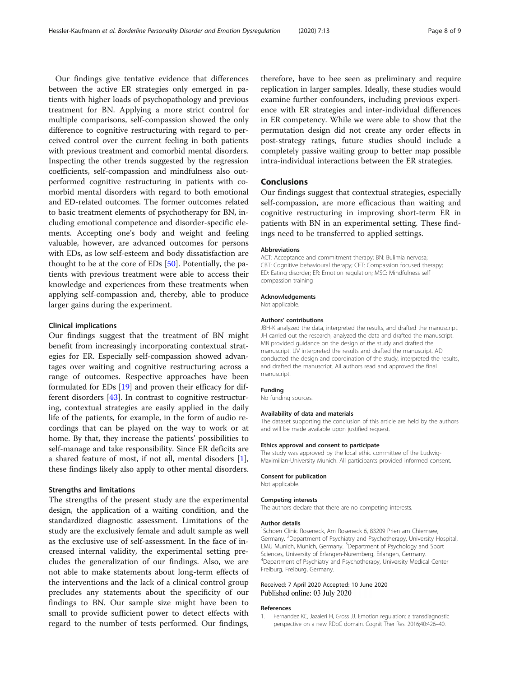<span id="page-7-0"></span>Our findings give tentative evidence that differences between the active ER strategies only emerged in patients with higher loads of psychopathology and previous treatment for BN. Applying a more strict control for multiple comparisons, self-compassion showed the only difference to cognitive restructuring with regard to perceived control over the current feeling in both patients with previous treatment and comorbid mental disorders. Inspecting the other trends suggested by the regression coefficients, self-compassion and mindfulness also outperformed cognitive restructuring in patients with comorbid mental disorders with regard to both emotional and ED-related outcomes. The former outcomes related to basic treatment elements of psychotherapy for BN, including emotional competence and disorder-specific elements. Accepting one's body and weight and feeling valuable, however, are advanced outcomes for persons with EDs, as low self-esteem and body dissatisfaction are thought to be at the core of EDs [\[50](#page-8-0)]. Potentially, the patients with previous treatment were able to access their knowledge and experiences from these treatments when applying self-compassion and, thereby, able to produce larger gains during the experiment.

### Clinical implications

Our findings suggest that the treatment of BN might benefit from increasingly incorporating contextual strategies for ER. Especially self-compassion showed advantages over waiting and cognitive restructuring across a range of outcomes. Respective approaches have been formulated for EDs [[19](#page-8-0)] and proven their efficacy for different disorders [[43\]](#page-8-0). In contrast to cognitive restructuring, contextual strategies are easily applied in the daily life of the patients, for example, in the form of audio recordings that can be played on the way to work or at home. By that, they increase the patients' possibilities to self-manage and take responsibility. Since ER deficits are a shared feature of most, if not all, mental disoders [1], these findings likely also apply to other mental disorders.

# Strengths and limitations

The strengths of the present study are the experimental design, the application of a waiting condition, and the standardized diagnostic assessment. Limitations of the study are the exclusively female and adult sample as well as the exclusive use of self-assessment. In the face of increased internal validity, the experimental setting precludes the generalization of our findings. Also, we are not able to make statements about long-term effects of the interventions and the lack of a clinical control group precludes any statements about the specificity of our findings to BN. Our sample size might have been to small to provide sufficient power to detect effects with regard to the number of tests performed. Our findings,

therefore, have to bee seen as preliminary and require replication in larger samples. Ideally, these studies would examine further confounders, including previous experience with ER strategies and inter-individual differences in ER competency. While we were able to show that the permutation design did not create any order effects in post-strategy ratings, future studies should include a completely passive waiting group to better map possible intra-individual interactions between the ER strategies.

### Conclusions

Our findings suggest that contextual strategies, especially self-compassion, are more efficacious than waiting and cognitive restructuring in improving short-term ER in patients with BN in an experimental setting. These findings need to be transferred to applied settings.

#### Abbreviations

ACT: Acceptance and commitment therapy; BN: Bulimia nervosa; CBT: Cognitive behavioural therapy; CFT: Compassion focused therapy; ED: Eating disorder; ER: Emotion regulation; MSC: Mindfulness self compassion training

#### Acknowledgements

Not applicable.

#### Authors' contributions

JBH-K analyzed the data, interpreted the results, and drafted the manuscript. JH carried out the research, analyzed the data and drafted the manuscript. MB provided guidance on the design of the study and drafted the manuscript. UV interpreted the results and drafted the manuscript. AD conducted the design and coordination of the study, interpreted the results, and drafted the manuscript. All authors read and approved the final manuscript.

#### Funding

No funding sources.

#### Availability of data and materials

The dataset supporting the conclusion of this article are held by the authors and will be made available upon justified request.

#### Ethics approval and consent to participate

The study was approved by the local ethic committee of the Ludwig-Maximilian-University Munich. All participants provided informed consent.

#### Consent for publication

Not applicable.

#### Competing interests

The authors declare that there are no competing interests.

#### Author details

<sup>1</sup>Schoen Clinic Roseneck, Am Roseneck 6, 83209 Prien am Chiemsee, Germany. <sup>2</sup>Department of Psychiatry and Psychotherapy, University Hospital LMU Munich, Munich, Germany. <sup>3</sup>Department of Psychology and Sport Sciences, University of Erlangen-Nuremberg, Erlangen, Germany. 4 Department of Psychiatry and Psychotherapy, University Medical Center Freiburg, Freiburg, Germany.

# Received: 7 April 2020 Accepted: 10 June 2020 Published online: 03 July 2020

#### References

1. Fernandez KC, Jazaieri H, Gross JJ. Emotion regulation: a transdiagnostic perspective on a new RDoC domain. Cognit Ther Res. 2016;40:426–40.